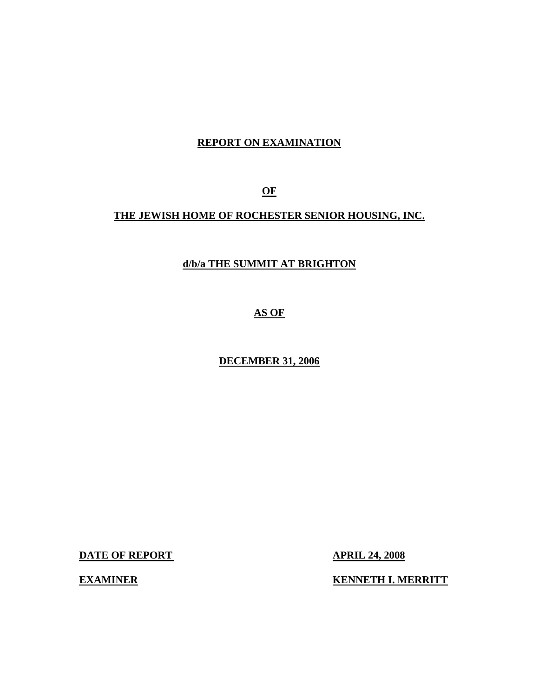# **REPORT ON EXAMINATION**

**OF** 

# **THE JEWISH HOME OF ROCHESTER SENIOR HOUSING, INC.**

# **d/b/a THE SUMMIT AT BRIGHTON**

**AS OF** 

**DECEMBER 31, 2006** 

**DATE OF REPORT APRIL 24, 2008** 

**EXAMINER KENNETH I. MERRITT**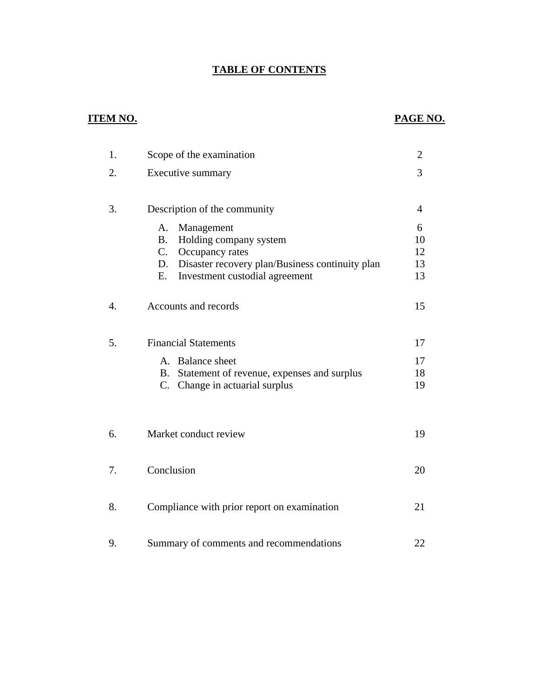# **TABLE OF CONTENTS**

# **ITEM NO. PAGE NO.**

| 1. | Scope of the examination                                                                                                                                                       | 2                         |
|----|--------------------------------------------------------------------------------------------------------------------------------------------------------------------------------|---------------------------|
| 2. | Executive summary                                                                                                                                                              | 3                         |
| 3. | Description of the community                                                                                                                                                   | 4                         |
|    | A.<br>Management<br>Holding company system<br><b>B.</b><br>C.<br>Occupancy rates<br>D. Disaster recovery plan/Business continuity plan<br>E.<br>Investment custodial agreement | 6<br>10<br>12<br>13<br>13 |
| 4. | Accounts and records                                                                                                                                                           | 15                        |
| 5. | <b>Financial Statements</b>                                                                                                                                                    | 17                        |
|    | A. Balance sheet<br>B. Statement of revenue, expenses and surplus<br>C. Change in actuarial surplus                                                                            | 17<br>18<br>19            |
| 6. | Market conduct review                                                                                                                                                          | 19                        |
| 7. | Conclusion                                                                                                                                                                     | 20                        |
| 8. | Compliance with prior report on examination                                                                                                                                    | 21                        |
| 9. | Summary of comments and recommendations                                                                                                                                        | 22                        |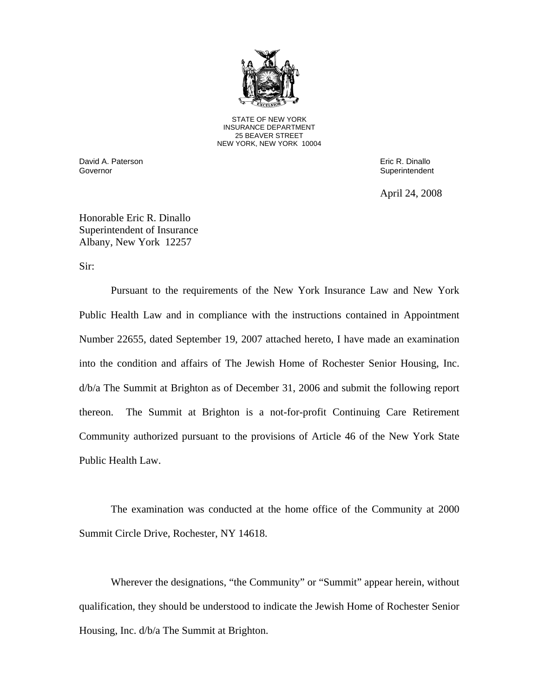

STATE OF NEW YORK INSURANCE DEPARTMENT 25 BEAVER STREET NEW YORK, NEW YORK 10004

David A. Paterson Eric R. Dinallo Governor **Superintendent** Superintendent Superintendent Superintendent Superintendent Superintendent Superintendent

April 24, 2008

Honorable Eric R. Dinallo Superintendent of Insurance Albany, New York 12257

Sir:

Pursuant to the requirements of the New York Insurance Law and New York Public Health Law and in compliance with the instructions contained in Appointment Number 22655, dated September 19, 2007 attached hereto, I have made an examination into the condition and affairs of The Jewish Home of Rochester Senior Housing, Inc. d/b/a The Summit at Brighton as of December 31, 2006 and submit the following report thereon. The Summit at Brighton is a not-for-profit Continuing Care Retirement Community authorized pursuant to the provisions of Article 46 of the New York State Public Health Law.

The examination was conducted at the home office of the Community at 2000 Summit Circle Drive, Rochester, NY 14618.

Wherever the designations, "the Community" or "Summit" appear herein, without qualification, they should be understood to indicate the Jewish Home of Rochester Senior Housing, Inc. d/b/a The Summit at Brighton.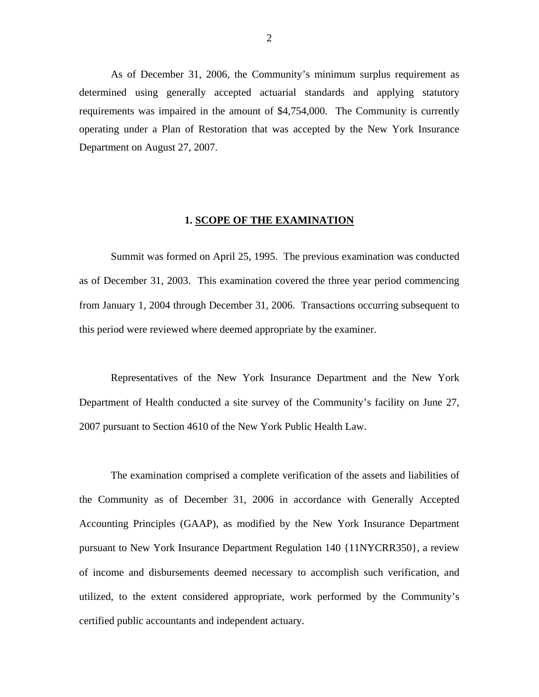As of December 31, 2006, the Community's minimum surplus requirement as determined using generally accepted actuarial standards and applying statutory requirements was impaired in the amount of \$4,754,000. The Community is currently operating under a Plan of Restoration that was accepted by the New York Insurance Department on August 27, 2007.

#### **1. SCOPE OF THE EXAMINATION**

Summit was formed on April 25, 1995. The previous examination was conducted as of December 31, 2003. This examination covered the three year period commencing from January 1, 2004 through December 31, 2006. Transactions occurring subsequent to this period were reviewed where deemed appropriate by the examiner.

Representatives of the New York Insurance Department and the New York Department of Health conducted a site survey of the Community's facility on June 27, 2007 pursuant to Section 4610 of the New York Public Health Law.

The examination comprised a complete verification of the assets and liabilities of the Community as of December 31, 2006 in accordance with Generally Accepted Accounting Principles (GAAP), as modified by the New York Insurance Department pursuant to New York Insurance Department Regulation 140 {11NYCRR350}, a review of income and disbursements deemed necessary to accomplish such verification, and utilized, to the extent considered appropriate, work performed by the Community's certified public accountants and independent actuary.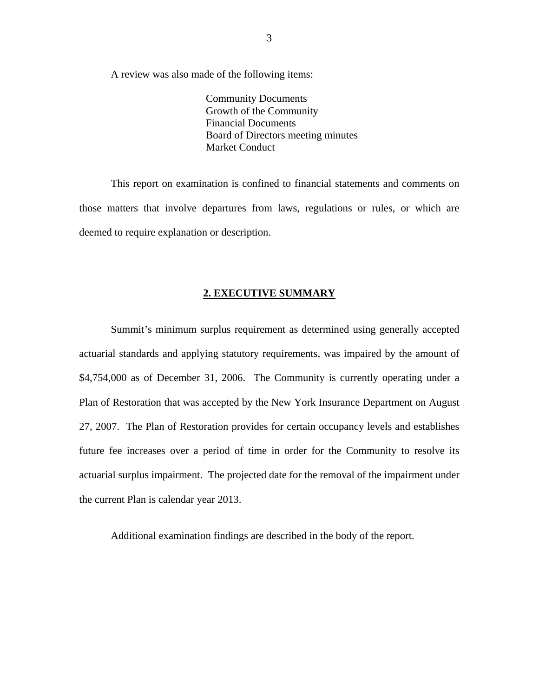<span id="page-4-0"></span>A review was also made of the following items:

 Community Documents Growth of the Community Financial Documents Board of Directors meeting minutes Market Conduct

This report on examination is confined to financial statements and comments on those matters that involve departures from laws, regulations or rules, or which are deemed to require explanation or description.

#### **2. EXECUTIVE SUMMARY**

Summit's minimum surplus requirement as determined using generally accepted actuarial standards and applying statutory requirements, was impaired by the amount of \$4,754,000 as of December 31, 2006. The Community is currently operating under a Plan of Restoration that was accepted by the New York Insurance Department on August 27, 2007. The Plan of Restoration provides for certain occupancy levels and establishes future fee increases over a period of time in order for the Community to resolve its actuarial surplus impairment. The projected date for the removal of the impairment under the current Plan is calendar year 2013.

Additional examination findings are described in the body of the report.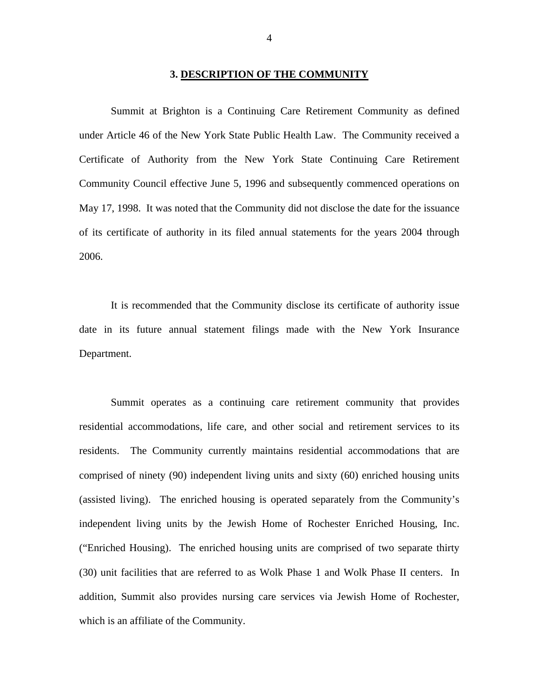#### **3. DESCRIPTION OF THE COMMUNITY**

<span id="page-5-0"></span>Summit at Brighton is a Continuing Care Retirement Community as defined under Article 46 of the New York State Public Health Law. The Community received a Certificate of Authority from the New York State Continuing Care Retirement Community Council effective June 5, 1996 and subsequently commenced operations on May 17, 1998. It was noted that the Community did not disclose the date for the issuance of its certificate of authority in its filed annual statements for the years 2004 through 2006.

It is recommended that the Community disclose its certificate of authority issue date in its future annual statement filings made with the New York Insurance Department.

Summit operates as a continuing care retirement community that provides residential accommodations, life care, and other social and retirement services to its residents. The Community currently maintains residential accommodations that are comprised of ninety (90) independent living units and sixty (60) enriched housing units (assisted living). The enriched housing is operated separately from the Community's independent living units by the Jewish Home of Rochester Enriched Housing, Inc. ("Enriched Housing). The enriched housing units are comprised of two separate thirty (30) unit facilities that are referred to as Wolk Phase 1 and Wolk Phase II centers. In addition, Summit also provides nursing care services via Jewish Home of Rochester, which is an affiliate of the Community.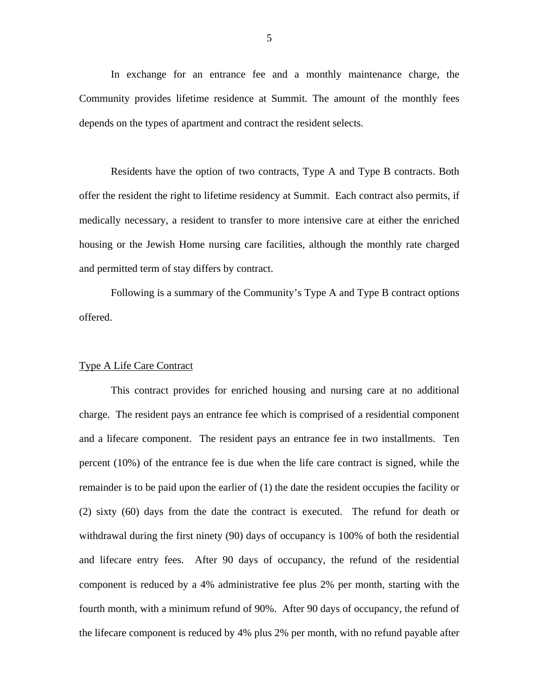In exchange for an entrance fee and a monthly maintenance charge, the Community provides lifetime residence at Summit. The amount of the monthly fees depends on the types of apartment and contract the resident selects.

Residents have the option of two contracts, Type A and Type B contracts. Both offer the resident the right to lifetime residency at Summit. Each contract also permits, if medically necessary, a resident to transfer to more intensive care at either the enriched housing or the Jewish Home nursing care facilities, although the monthly rate charged and permitted term of stay differs by contract.

Following is a summary of the Community's Type A and Type B contract options offered.

#### Type A Life Care Contract

This contract provides for enriched housing and nursing care at no additional charge. The resident pays an entrance fee which is comprised of a residential component and a lifecare component. The resident pays an entrance fee in two installments. Ten percent (10%) of the entrance fee is due when the life care contract is signed, while the remainder is to be paid upon the earlier of (1) the date the resident occupies the facility or (2) sixty (60) days from the date the contract is executed. The refund for death or withdrawal during the first ninety (90) days of occupancy is 100% of both the residential and lifecare entry fees. After 90 days of occupancy, the refund of the residential component is reduced by a 4% administrative fee plus 2% per month, starting with the fourth month, with a minimum refund of 90%. After 90 days of occupancy, the refund of the lifecare component is reduced by 4% plus 2% per month, with no refund payable after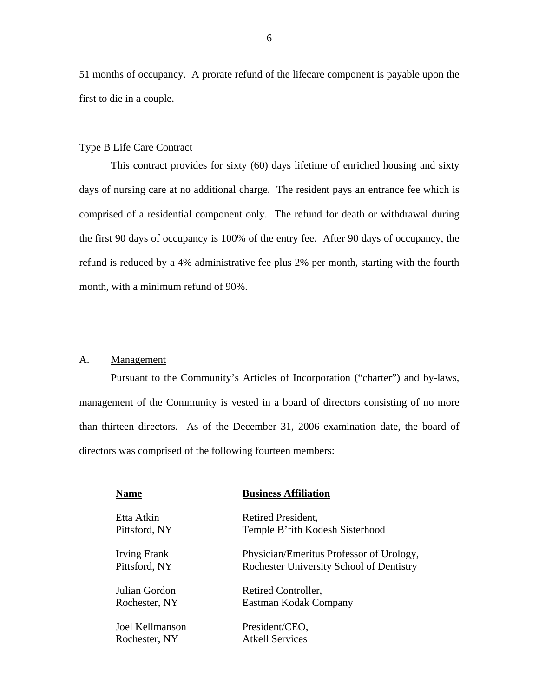51 months of occupancy. A prorate refund of the lifecare component is payable upon the first to die in a couple.

#### Type B Life Care Contract

This contract provides for sixty (60) days lifetime of enriched housing and sixty days of nursing care at no additional charge. The resident pays an entrance fee which is comprised of a residential component only. The refund for death or withdrawal during the first 90 days of occupancy is 100% of the entry fee. After 90 days of occupancy, the refund is reduced by a 4% administrative fee plus 2% per month, starting with the fourth month, with a minimum refund of 90%.

#### A. Management

Pursuant to the Community's Articles of Incorporation ("charter") and by-laws, management of the Community is vested in a board of directors consisting of no more than thirteen directors. As of the December 31, 2006 examination date, the board of directors was comprised of the following fourteen members:

| <b>Name</b>     | <b>Business Affiliation</b>              |
|-----------------|------------------------------------------|
| Etta Atkin      | Retired President,                       |
| Pittsford, NY   | Temple B'rith Kodesh Sisterhood          |
| Irving Frank    | Physician/Emeritus Professor of Urology, |
| Pittsford, NY   | Rochester University School of Dentistry |
| Julian Gordon   | Retired Controller,                      |
| Rochester, NY   | Eastman Kodak Company                    |
| Joel Kellmanson | President/CEO,                           |
| Rochester, NY   | <b>Atkell Services</b>                   |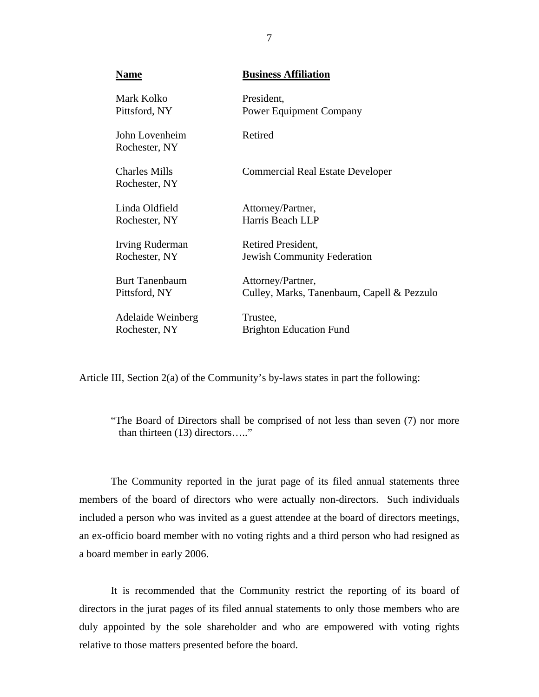| <b>Name</b>                           | <b>Business Affiliation</b>                |
|---------------------------------------|--------------------------------------------|
| Mark Kolko                            | President,                                 |
| Pittsford, NY                         | <b>Power Equipment Company</b>             |
| John Lovenheim<br>Rochester, NY       | Retired                                    |
| <b>Charles Mills</b><br>Rochester, NY | <b>Commercial Real Estate Developer</b>    |
| Linda Oldfield                        | Attorney/Partner,                          |
| Rochester, NY                         | Harris Beach LLP                           |
| <b>Irving Ruderman</b>                | Retired President,                         |
| Rochester, NY                         | <b>Jewish Community Federation</b>         |
| <b>Burt Tanenbaum</b>                 | Attorney/Partner,                          |
| Pittsford, NY                         | Culley, Marks, Tanenbaum, Capell & Pezzulo |
| Adelaide Weinberg                     | Trustee,                                   |
| Rochester, NY                         | <b>Brighton Education Fund</b>             |

Article III, Section 2(a) of the Community's by-laws states in part the following:

"The Board of Directors shall be comprised of not less than seven (7) nor more than thirteen (13) directors….."

The Community reported in the jurat page of its filed annual statements three members of the board of directors who were actually non-directors. Such individuals included a person who was invited as a guest attendee at the board of directors meetings, an ex-officio board member with no voting rights and a third person who had resigned as a board member in early 2006.

It is recommended that the Community restrict the reporting of its board of directors in the jurat pages of its filed annual statements to only those members who are duly appointed by the sole shareholder and who are empowered with voting rights relative to those matters presented before the board.

7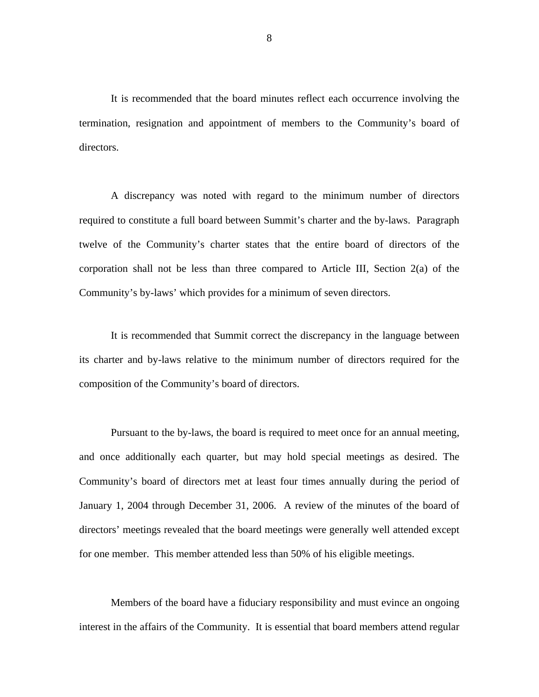It is recommended that the board minutes reflect each occurrence involving the termination, resignation and appointment of members to the Community's board of directors.

A discrepancy was noted with regard to the minimum number of directors required to constitute a full board between Summit's charter and the by-laws. Paragraph twelve of the Community's charter states that the entire board of directors of the corporation shall not be less than three compared to Article III, Section 2(a) of the Community's by-laws' which provides for a minimum of seven directors.

It is recommended that Summit correct the discrepancy in the language between its charter and by-laws relative to the minimum number of directors required for the composition of the Community's board of directors.

Pursuant to the by-laws, the board is required to meet once for an annual meeting, and once additionally each quarter, but may hold special meetings as desired. The Community's board of directors met at least four times annually during the period of January 1, 2004 through December 31, 2006. A review of the minutes of the board of directors' meetings revealed that the board meetings were generally well attended except for one member. This member attended less than 50% of his eligible meetings.

Members of the board have a fiduciary responsibility and must evince an ongoing interest in the affairs of the Community. It is essential that board members attend regular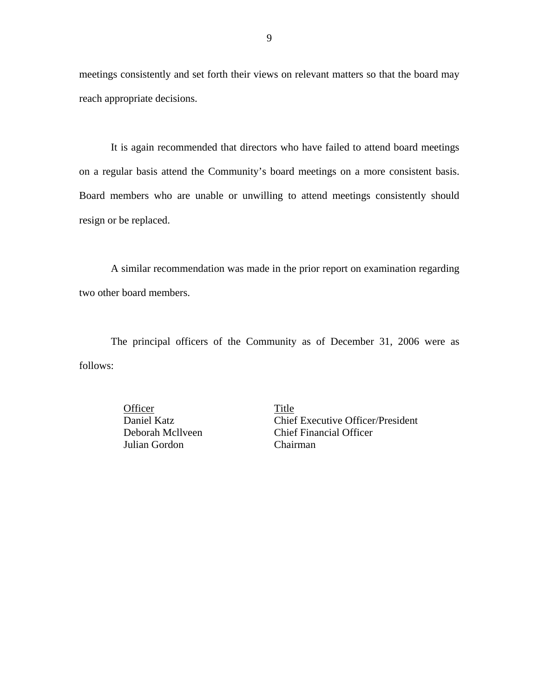meetings consistently and set forth their views on relevant matters so that the board may reach appropriate decisions.

It is again recommended that directors who have failed to attend board meetings on a regular basis attend the Community's board meetings on a more consistent basis. Board members who are unable or unwilling to attend meetings consistently should resign or be replaced.

A similar recommendation was made in the prior report on examination regarding two other board members.

The principal officers of the Community as of December 31, 2006 were as follows:

> Officer Title Julian Gordon Chairman

Daniel Katz Chief Executive Officer/President Deborah Mcllveen Chief Financial Officer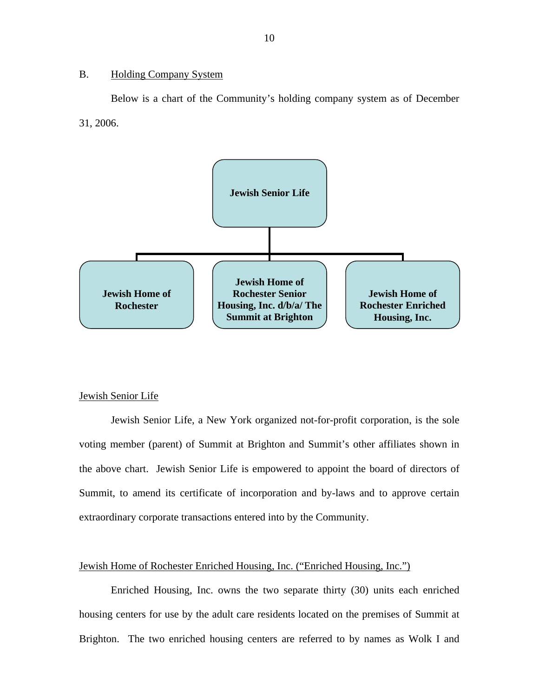#### <span id="page-11-0"></span>B. Holding Company System

Below is a chart of the Community's holding company system as of December 31, 2006.



#### Jewish Senior Life

Jewish Senior Life, a New York organized not-for-profit corporation, is the sole voting member (parent) of Summit at Brighton and Summit's other affiliates shown in the above chart. Jewish Senior Life is empowered to appoint the board of directors of Summit, to amend its certificate of incorporation and by-laws and to approve certain extraordinary corporate transactions entered into by the Community.

#### Jewish Home of Rochester Enriched Housing, Inc. ("Enriched Housing, Inc.")

Enriched Housing, Inc. owns the two separate thirty (30) units each enriched housing centers for use by the adult care residents located on the premises of Summit at Brighton. The two enriched housing centers are referred to by names as Wolk I and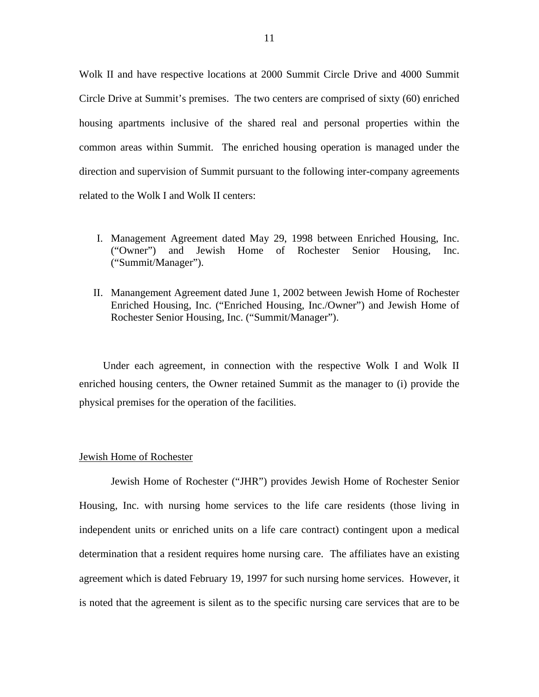Wolk II and have respective locations at 2000 Summit Circle Drive and 4000 Summit Circle Drive at Summit's premises. The two centers are comprised of sixty (60) enriched housing apartments inclusive of the shared real and personal properties within the common areas within Summit. The enriched housing operation is managed under the direction and supervision of Summit pursuant to the following inter-company agreements related to the Wolk I and Wolk II centers:

- I. Management Agreement dated May 29, 1998 between Enriched Housing, Inc. ("Owner") and Jewish Home of Rochester Senior Housing, Inc. ("Summit/Manager").
- II. Manangement Agreement dated June 1, 2002 between Jewish Home of Rochester Enriched Housing, Inc. ("Enriched Housing, Inc./Owner") and Jewish Home of Rochester Senior Housing, Inc. ("Summit/Manager").

Under each agreement, in connection with the respective Wolk I and Wolk II enriched housing centers, the Owner retained Summit as the manager to (i) provide the physical premises for the operation of the facilities.

#### Jewish Home of Rochester

Jewish Home of Rochester ("JHR") provides Jewish Home of Rochester Senior Housing, Inc. with nursing home services to the life care residents (those living in independent units or enriched units on a life care contract) contingent upon a medical determination that a resident requires home nursing care. The affiliates have an existing agreement which is dated February 19, 1997 for such nursing home services. However, it is noted that the agreement is silent as to the specific nursing care services that are to be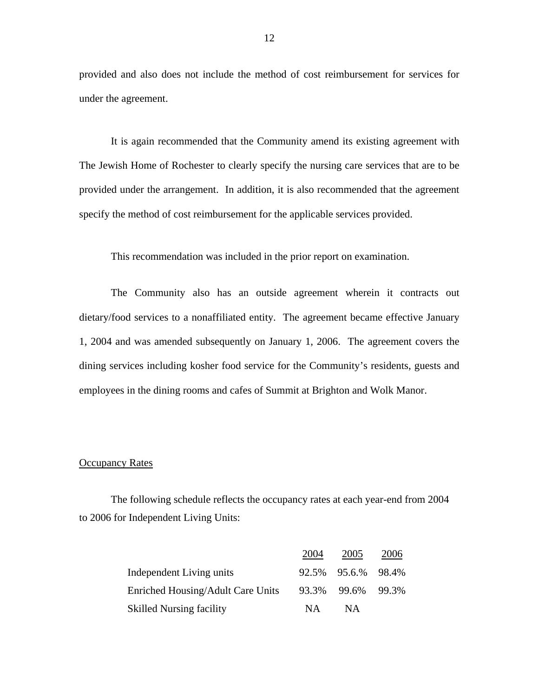provided and also does not include the method of cost reimbursement for services for under the agreement.

It is again recommended that the Community amend its existing agreement with The Jewish Home of Rochester to clearly specify the nursing care services that are to be provided under the arrangement. In addition, it is also recommended that the agreement specify the method of cost reimbursement for the applicable services provided.

This recommendation was included in the prior report on examination.

The Community also has an outside agreement wherein it contracts out dietary/food services to a nonaffiliated entity. The agreement became effective January 1, 2004 and was amended subsequently on January 1, 2006. The agreement covers the dining services including kosher food service for the Community's residents, guests and employees in the dining rooms and cafes of Summit at Brighton and Wolk Manor.

#### **Occupancy Rates**

The following schedule reflects the occupancy rates at each year-end from 2004 to 2006 for Independent Living Units:

|                                   | 2004 | 2005               | 2006  |
|-----------------------------------|------|--------------------|-------|
| Independent Living units          |      | 92.5% 95.6.% 98.4% |       |
| Enriched Housing/Adult Care Units |      | 93.3% 99.6%        | 99.3% |
| <b>Skilled Nursing facility</b>   | NA.  | <b>NA</b>          |       |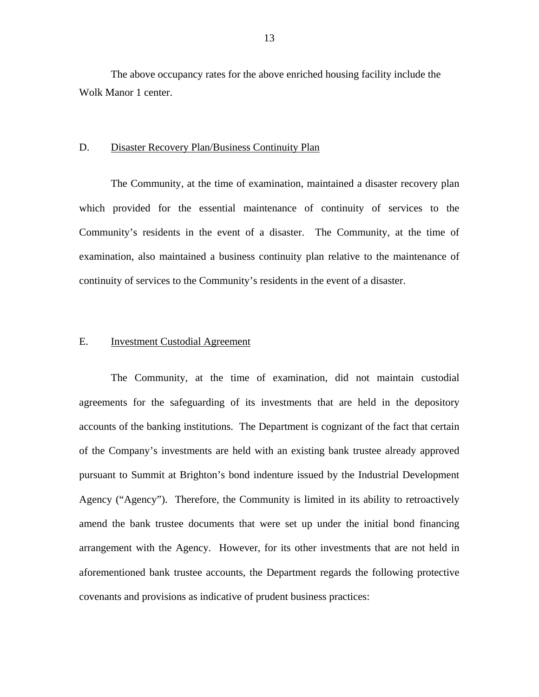<span id="page-14-0"></span>The above occupancy rates for the above enriched housing facility include the Wolk Manor 1 center.

#### D. Disaster Recovery Plan/Business Continuity Plan

The Community, at the time of examination, maintained a disaster recovery plan which provided for the essential maintenance of continuity of services to the Community's residents in the event of a disaster. The Community, at the time of examination, also maintained a business continuity plan relative to the maintenance of continuity of services to the Community's residents in the event of a disaster.

#### E. Investment Custodial Agreement

The Community, at the time of examination, did not maintain custodial agreements for the safeguarding of its investments that are held in the depository accounts of the banking institutions. The Department is cognizant of the fact that certain of the Company's investments are held with an existing bank trustee already approved pursuant to Summit at Brighton's bond indenture issued by the Industrial Development Agency ("Agency"). Therefore, the Community is limited in its ability to retroactively amend the bank trustee documents that were set up under the initial bond financing arrangement with the Agency. However, for its other investments that are not held in aforementioned bank trustee accounts, the Department regards the following protective covenants and provisions as indicative of prudent business practices: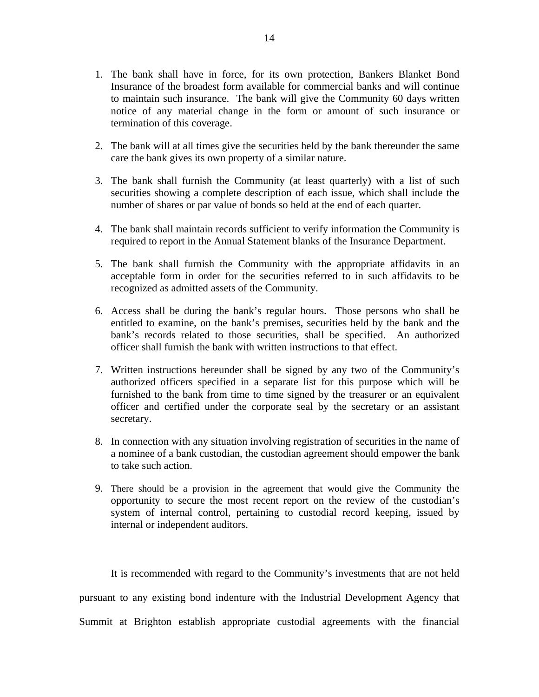- 1. The bank shall have in force, for its own protection, Bankers Blanket Bond Insurance of the broadest form available for commercial banks and will continue to maintain such insurance. The bank will give the Community 60 days written notice of any material change in the form or amount of such insurance or termination of this coverage.
- 2. The bank will at all times give the securities held by the bank thereunder the same care the bank gives its own property of a similar nature.
- 3. The bank shall furnish the Community (at least quarterly) with a list of such securities showing a complete description of each issue, which shall include the number of shares or par value of bonds so held at the end of each quarter.
- 4. The bank shall maintain records sufficient to verify information the Community is required to report in the Annual Statement blanks of the Insurance Department.
- 5. The bank shall furnish the Community with the appropriate affidavits in an acceptable form in order for the securities referred to in such affidavits to be recognized as admitted assets of the Community.
- 6. Access shall be during the bank's regular hours. Those persons who shall be entitled to examine, on the bank's premises, securities held by the bank and the bank's records related to those securities, shall be specified. An authorized officer shall furnish the bank with written instructions to that effect.
- 7. Written instructions hereunder shall be signed by any two of the Community's authorized officers specified in a separate list for this purpose which will be furnished to the bank from time to time signed by the treasurer or an equivalent officer and certified under the corporate seal by the secretary or an assistant secretary.
- 8. In connection with any situation involving registration of securities in the name of a nominee of a bank custodian, the custodian agreement should empower the bank to take such action.
- 9. There should be a provision in the agreement that would give the Community the opportunity to secure the most recent report on the review of the custodian's system of internal control, pertaining to custodial record keeping, issued by internal or independent auditors.

It is recommended with regard to the Community's investments that are not held pursuant to any existing bond indenture with the Industrial Development Agency that Summit at Brighton establish appropriate custodial agreements with the financial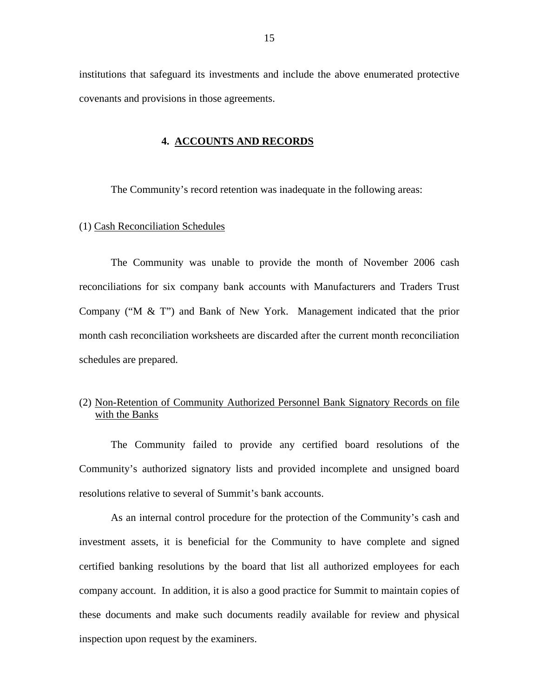<span id="page-16-0"></span>institutions that safeguard its investments and include the above enumerated protective covenants and provisions in those agreements.

#### **4. ACCOUNTS AND RECORDS**

The Community's record retention was inadequate in the following areas:

#### (1) Cash Reconciliation Schedules

The Community was unable to provide the month of November 2006 cash reconciliations for six company bank accounts with Manufacturers and Traders Trust Company ("M & T") and Bank of New York. Management indicated that the prior month cash reconciliation worksheets are discarded after the current month reconciliation schedules are prepared.

### (2) Non-Retention of Community Authorized Personnel Bank Signatory Records on file with the Banks

The Community failed to provide any certified board resolutions of the Community's authorized signatory lists and provided incomplete and unsigned board resolutions relative to several of Summit's bank accounts.

As an internal control procedure for the protection of the Community's cash and investment assets, it is beneficial for the Community to have complete and signed certified banking resolutions by the board that list all authorized employees for each company account. In addition, it is also a good practice for Summit to maintain copies of these documents and make such documents readily available for review and physical inspection upon request by the examiners.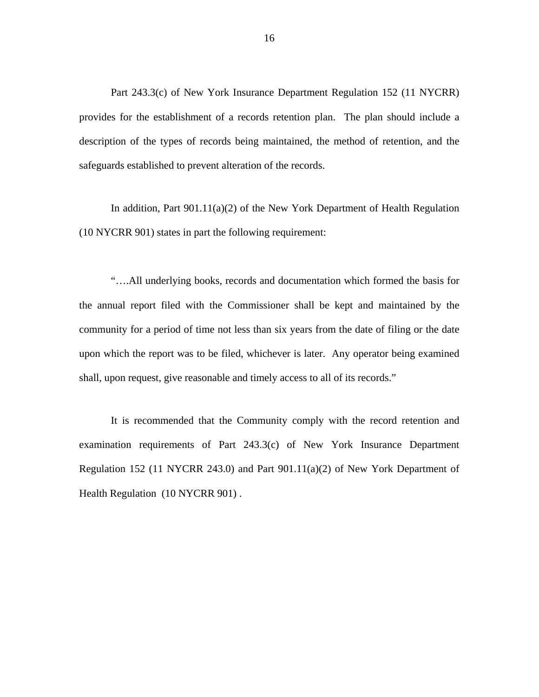Part 243.3(c) of New York Insurance Department Regulation 152 (11 NYCRR) provides for the establishment of a records retention plan. The plan should include a description of the types of records being maintained, the method of retention, and the safeguards established to prevent alteration of the records.

In addition, Part 901.11(a)(2) of the New York Department of Health Regulation (10 NYCRR 901) states in part the following requirement:

"….All underlying books, records and documentation which formed the basis for the annual report filed with the Commissioner shall be kept and maintained by the community for a period of time not less than six years from the date of filing or the date upon which the report was to be filed, whichever is later. Any operator being examined shall, upon request, give reasonable and timely access to all of its records."

It is recommended that the Community comply with the record retention and examination requirements of Part 243.3(c) of New York Insurance Department Regulation 152 (11 NYCRR 243.0) and Part 901.11(a)(2) of New York Department of Health Regulation (10 NYCRR 901) .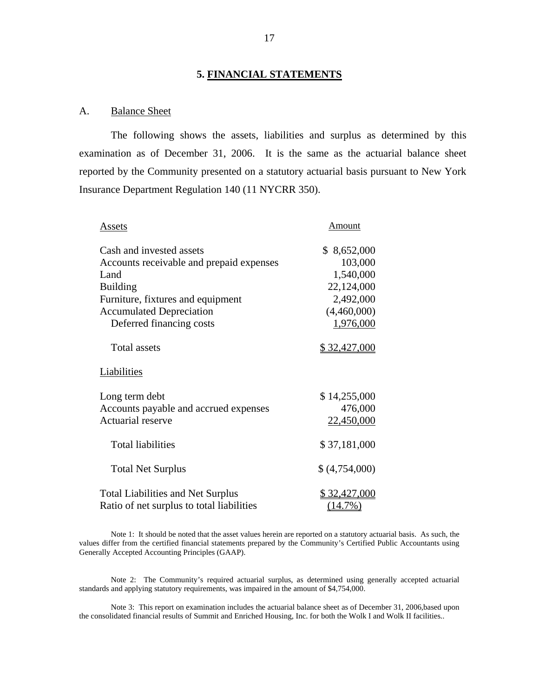#### **5. FINANCIAL STATEMENTS**

#### A. Balance Sheet

The following shows the assets, liabilities and surplus as determined by this examination as of December 31, 2006. It is the same as the actuarial balance sheet reported by the Community presented on a statutory actuarial basis pursuant to New York Insurance Department Regulation 140 (11 NYCRR 350).

| Assets                                                                                                                                                                                              | Amount                                                                                     |
|-----------------------------------------------------------------------------------------------------------------------------------------------------------------------------------------------------|--------------------------------------------------------------------------------------------|
| Cash and invested assets<br>Accounts receivable and prepaid expenses<br>Land<br><b>Building</b><br>Furniture, fixtures and equipment<br><b>Accumulated Depreciation</b><br>Deferred financing costs | \$8,652,000<br>103,000<br>1,540,000<br>22,124,000<br>2,492,000<br>(4,460,000)<br>1,976,000 |
| Total assets                                                                                                                                                                                        | <u>\$32,427,000</u>                                                                        |
| Liabilities                                                                                                                                                                                         |                                                                                            |
| Long term debt<br>Accounts payable and accrued expenses<br>Actuarial reserve                                                                                                                        | \$14,255,000<br>476,000<br>22,450,000                                                      |
| <b>Total liabilities</b>                                                                                                                                                                            | \$37,181,000                                                                               |
| <b>Total Net Surplus</b>                                                                                                                                                                            | \$(4,754,000)                                                                              |
| <b>Total Liabilities and Net Surplus</b><br>Ratio of net surplus to total liabilities                                                                                                               | \$32,427,000<br>$(14.7\%)$                                                                 |

Generally Accepted Accounting Principles (GAAP). Note 1: It should be noted that the asset values herein are reported on a statutory actuarial basis. As such, the values differ from the certified financial statements prepared by the Community's Certified Public Accountants using

Note 2: The Community's required actuarial surplus, as determined using generally accepted actuarial standards and applying statutory requirements, was impaired in the amount of \$4,754,000.

Note 3: This report on examination includes the actuarial balance sheet as of December 31, 2006,based upon the consolidated financial results of Summit and Enriched Housing, Inc. for both the Wolk I and Wolk II facilities..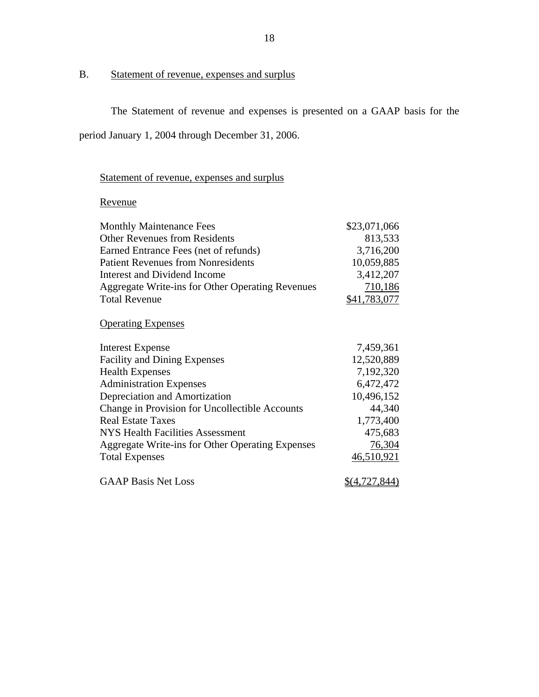# B. Statement of revenue, expenses and surplus

The Statement of revenue and expenses is presented on a GAAP basis for the

period January 1, 2004 through December 31, 2006.

# Revenue

| <u>Statement of revenue, expenses and surplus</u> |               |
|---------------------------------------------------|---------------|
| Revenue                                           |               |
| <b>Monthly Maintenance Fees</b>                   | \$23,071,066  |
| <b>Other Revenues from Residents</b>              | 813,533       |
| Earned Entrance Fees (net of refunds)             | 3,716,200     |
| <b>Patient Revenues from Nonresidents</b>         | 10,059,885    |
| Interest and Dividend Income                      | 3,412,207     |
| Aggregate Write-ins for Other Operating Revenues  | 710,186       |
| <b>Total Revenue</b>                              | \$41,783,077  |
| <b>Operating Expenses</b>                         |               |
| <b>Interest Expense</b>                           | 7,459,361     |
| <b>Facility and Dining Expenses</b>               | 12,520,889    |
| <b>Health Expenses</b>                            | 7,192,320     |
| <b>Administration Expenses</b>                    | 6,472,472     |
| Depreciation and Amortization                     | 10,496,152    |
| Change in Provision for Uncollectible Accounts    | 44,340        |
| <b>Real Estate Taxes</b>                          | 1,773,400     |
| <b>NYS Health Facilities Assessment</b>           | 475,683       |
| Aggregate Write-ins for Other Operating Expenses  | 76,304        |
| <b>Total Expenses</b>                             | 46,510,921    |
| <b>GAAP Basis Net Loss</b>                        | \$(4,727,844) |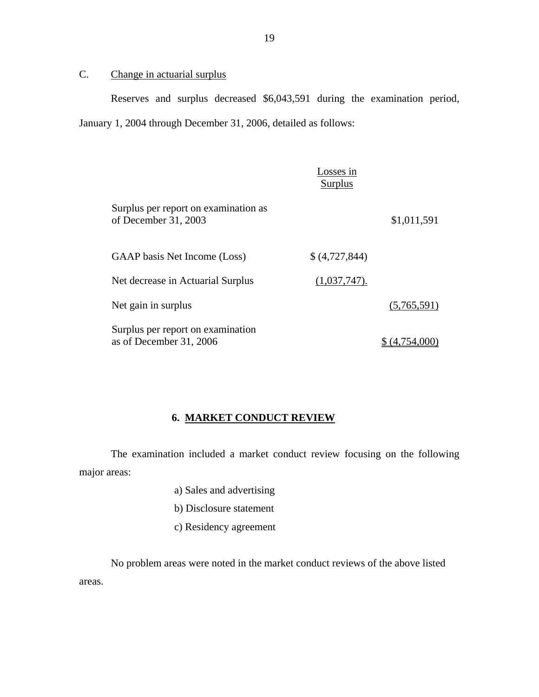# C. Change in actuarial surplus

Reserves and surplus decreased \$6,043,591 during the examination period, January 1, 2004 through December 31, 2006, detailed as follows:

|                                                              | Losses in<br>Surplus |             |
|--------------------------------------------------------------|----------------------|-------------|
| Surplus per report on examination as<br>of December 31, 2003 |                      | \$1,011,591 |
| GAAP basis Net Income (Loss)                                 | \$ (4, 727, 844)     |             |
| Net decrease in Actuarial Surplus                            | (1,037,747).         |             |
| Net gain in surplus                                          |                      | (5,765,591) |
| Surplus per report on examination<br>as of December 31, 2006 |                      | 4.754.00    |

# **6. MARKET CONDUCT REVIEW**

The examination included a market conduct review focusing on the following major areas:

- a) Sales and advertising
- b) Disclosure statement
- c) Residency agreement

No problem areas were noted in the market conduct reviews of the above listed areas.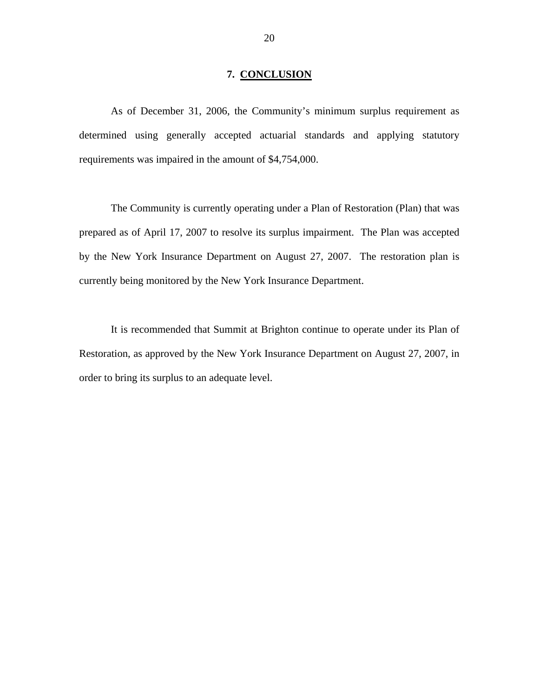#### **7. CONCLUSION**

<span id="page-21-0"></span>As of December 31, 2006, the Community's minimum surplus requirement as determined using generally accepted actuarial standards and applying statutory requirements was impaired in the amount of \$4,754,000.

The Community is currently operating under a Plan of Restoration (Plan) that was prepared as of April 17, 2007 to resolve its surplus impairment. The Plan was accepted by the New York Insurance Department on August 27, 2007. The restoration plan is currently being monitored by the New York Insurance Department.

It is recommended that Summit at Brighton continue to operate under its Plan of Restoration, as approved by the New York Insurance Department on August 27, 2007, in order to bring its surplus to an adequate level.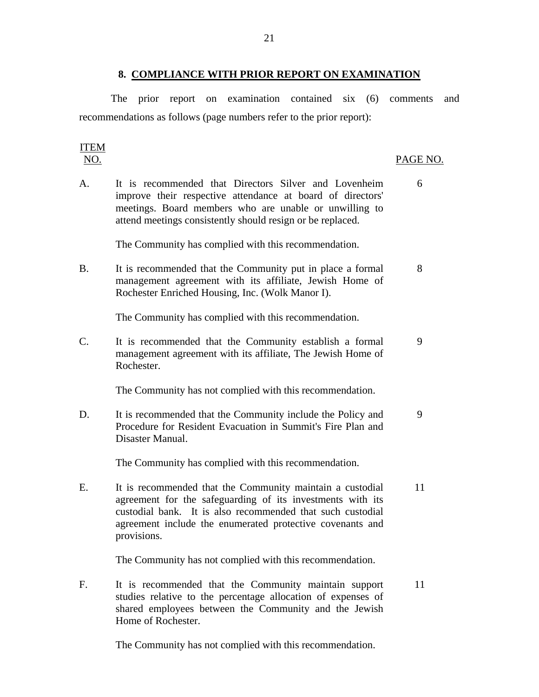#### **8. COMPLIANCE WITH PRIOR REPORT ON EXAMINATION**

<span id="page-22-0"></span>The prior report on examination contained six (6) comments and recommendations as follows (page numbers refer to the prior report):

# ITEM

#### NO. PAGE NO.

A. It is recommended that Directors Silver and Lovenheim 6 improve their respective attendance at board of directors' meetings. Board members who are unable or unwilling to attend meetings consistently should resign or be replaced.

The Community has complied with this recommendation.

B. It is recommended that the Community put in place a formal 8 management agreement with its affiliate, Jewish Home of Rochester Enriched Housing, Inc. (Wolk Manor I).

The Community has complied with this recommendation.

C. It is recommended that the Community establish a formal 9 management agreement with its affiliate, The Jewish Home of Rochester.

The Community has not complied with this recommendation.

D. It is recommended that the Community include the Policy and 9 Procedure for Resident Evacuation in Summit's Fire Plan and Disaster Manual.

The Community has complied with this recommendation.

E. It is recommended that the Community maintain a custodial 11 agreement for the safeguarding of its investments with its custodial bank. It is also recommended that such custodial agreement include the enumerated protective covenants and provisions.

The Community has not complied with this recommendation.

F. It is recommended that the Community maintain support 11 studies relative to the percentage allocation of expenses of shared employees between the Community and the Jewish Home of Rochester.

The Community has not complied with this recommendation.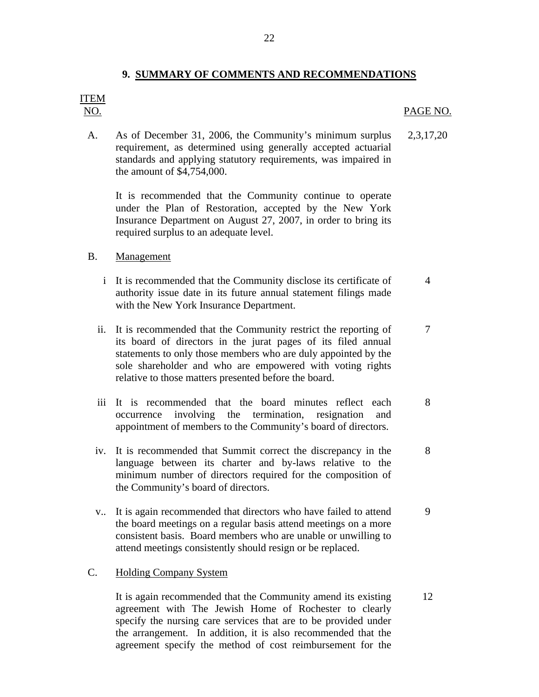22

# ITEM

#### NO. PAGE NO.

7

8

9

A. As of December 31, 2006, the Community's minimum surplus requirement, as determined using generally accepted actuarial standards and applying statutory requirements, was impaired in the amount of \$4,754,000. 2,3,17,20

It is recommended that the Community continue to operate under the Plan of Restoration, accepted by the New York Insurance Department on August 27, 2007, in order to bring its required surplus to an adequate level.

#### Management

- B. Management<br>i It is recommended that the Community disclose its certificate of authority issue date in its future annual statement filings made with the New York Insurance Department. 4
	- ii. It is recommended that the Community restrict the reporting of its board of directors in the jurat pages of its filed annual statements to only those members who are duly appointed by the sole shareholder and who are empowered with voting rights relative to those matters presented before the board.
	- iii It is recommended that the board minutes reflect each occurrence involving the termination, resignation and appointment of members to the Community's board of directors. 8
	- iv. It is recommended that Summit correct the discrepancy in the language between its charter and by-laws relative to the minimum number of directors required for the composition of the Community's board of directors.
	- v.. It is again recommended that directors who have failed to attend the board meetings on a regular basis attend meetings on a more consistent basis. Board members who are unable or unwilling to attend meetings consistently should resign or be replaced.

#### **Holding Company System**

C. Holding Company System<br>It is again recommended that the Community amend its existing agreement with The Jewish Home of Rochester to clearly specify the nursing care services that are to be provided under the arrangement. In addition, it is also recommended that the agreement specify the method of cost reimbursement for the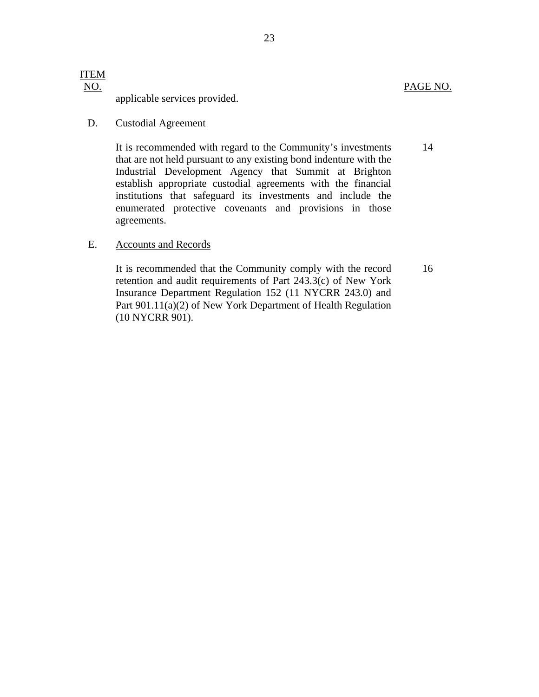applicable services provided.

#### **Custodial Agreement**

D. Custodial Agreement<br>It is recommended with regard to the Community's investments that are not held pursuant to any existing bond indenture with the Industrial Development Agency that Summit at Brighton establish appropriate custodial agreements with the financial institutions that safeguard its investments and include the enumerated protective covenants and provisions in those agreements.

#### **Accounts and Records**

E. Accounts and Records<br>It is recommended that the Community comply with the record retention and audit requirements of Part 243.3(c) of New York Insurance Department Regulation 152 (11 NYCRR 243.0) and Part 901.11(a)(2) of New York Department of Health Regulation (10 NYCRR 901).

14

PAGE NO.

16